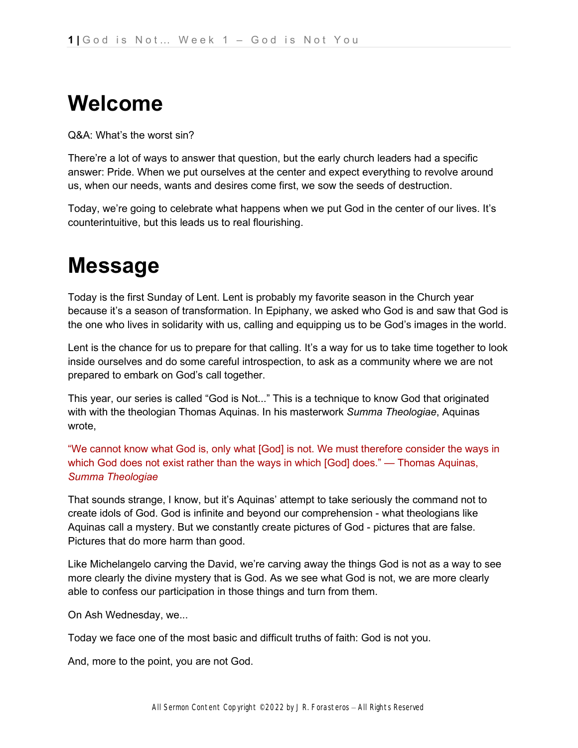# **Welcome**

Q&A: What's the worst sin?

There're a lot of ways to answer that question, but the early church leaders had a specific answer: Pride. When we put ourselves at the center and expect everything to revolve around us, when our needs, wants and desires come first, we sow the seeds of destruction.

Today, we're going to celebrate what happens when we put God in the center of our lives. It's counterintuitive, but this leads us to real flourishing.

# **Message**

Today is the first Sunday of Lent. Lent is probably my favorite season in the Church year because it's a season of transformation. In Epiphany, we asked who God is and saw that God is the one who lives in solidarity with us, calling and equipping us to be God's images in the world.

Lent is the chance for us to prepare for that calling. It's a way for us to take time together to look inside ourselves and do some careful introspection, to ask as a community where we are not prepared to embark on God's call together.

This year, our series is called "God is Not..." This is a technique to know God that originated with with the theologian Thomas Aquinas. In his masterwork *Summa Theologiae*, Aquinas wrote,

"We cannot know what God is, only what [God] is not. We must therefore consider the ways in which God does not exist rather than the ways in which [God] does." — Thomas Aquinas, *Summa Theologiae*

That sounds strange, I know, but it's Aquinas' attempt to take seriously the command not to create idols of God. God is infinite and beyond our comprehension - what theologians like Aquinas call a mystery. But we constantly create pictures of God - pictures that are false. Pictures that do more harm than good.

Like Michelangelo carving the David, we're carving away the things God is not as a way to see more clearly the divine mystery that is God. As we see what God is not, we are more clearly able to confess our participation in those things and turn from them.

On Ash Wednesday, we...

Today we face one of the most basic and difficult truths of faith: God is not you.

And, more to the point, you are not God.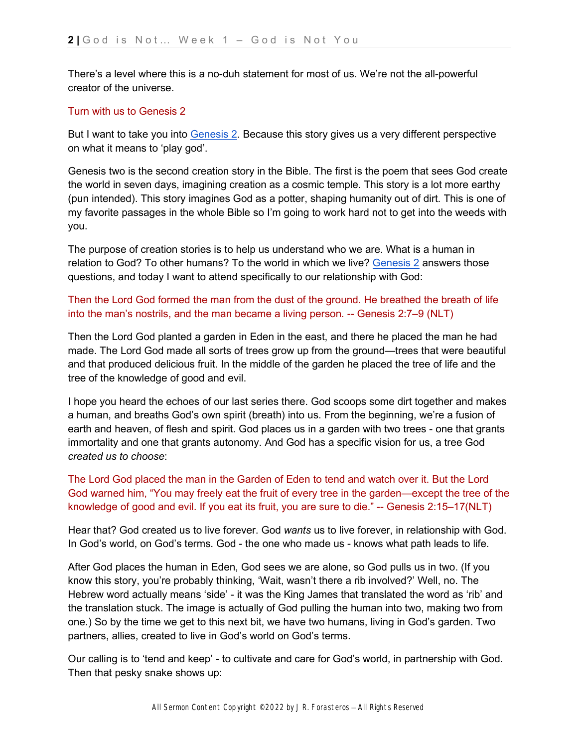There's a level where this is a no-duh statement for most of us. We're not the all-powerful creator of the universe.

### Turn with us to Genesis 2

But I want t[o](https://ref.ly/logosref/bible$2Bnlt.1.2) take you into [Genesis 2.](https://ref.ly/logosref/bible$2Bnlt.1.2) Because this story gives us a very different perspective on what it means to 'play god'.

Genesis two is the second creation story in the Bible. The first is the poem that sees God create the world in seven days, imagining creation as a cosmic temple. This story is a lot more earthy (pun intended). This story imagines God as a potter, shaping humanity out of dirt. This is one of my favorite passages in the whole Bible so I'm going to work hard not to get into the weeds with you.

The purpose of creation stories is to help us understand who we are. What is a human in relation to God? To other humans? To the world in which we live? [Genesis 2](https://ref.ly/logosref/bible$2Bnlt.1.2) answers those questions, and today I want to attend specifically to our relationship with God:

Then the Lord God formed the man from the dust of the ground. He breathed the breath of life into the man's nostrils, and the man became a living person. -- Genesis 2:7–9 (NLT)

Then the Lord God planted a garden in Eden in the east, and there he placed the man he had made. The Lord God made all sorts of trees grow up from the ground—trees that were beautiful and that produced delicious fruit. In the middle of the garden he placed the tree of life and the tree of the knowledge of good and evil.

I hope you heard the echoes of our last series there. God scoops some dirt together and makes a human, and breaths God's own spirit (breath) into us. From the beginning, we're a fusion of earth and heaven, of flesh and spirit. God places us in a garden with two trees - one that grants immortality and one that grants autonomy. And God has a specific vision for us, a tree God *created us to choose*:

The Lord God placed the man in the Garden of Eden to tend and watch over it. But the Lord God warned him, "You may freely eat the fruit of every tree in the garden—except the tree of the knowledge of good and evil. If you eat its fruit, you are sure to die." -- Genesis 2:15–17(NLT)

Hear that? God created us to live forever. God *wants* us to live forever, in relationship with God. In God's world, on God's terms. God - the one who made us - knows what path leads to life.

After God places the human in Eden, God sees we are alone, so God pulls us in two. (If you know this story, you're probably thinking, 'Wait, wasn't there a rib involved?' Well, no. The Hebrew word actually means 'side' - it was the King James that translated the word as 'rib' and the translation stuck. The image is actually of God pulling the human into two, making two from one.) So by the time we get to this next bit, we have two humans, living in God's garden. Two partners, allies, created to live in God's world on God's terms.

Our calling is to 'tend and keep' - to cultivate and care for God's world, in partnership with God. Then that pesky snake shows up: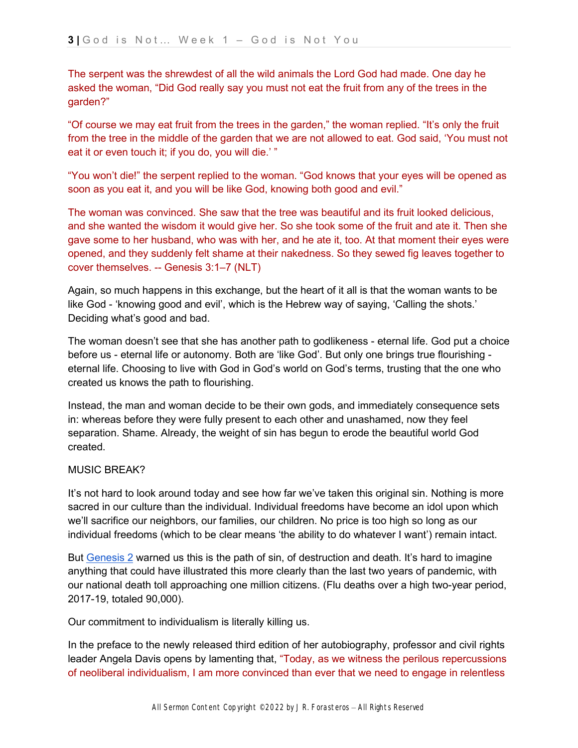The serpent was the shrewdest of all the wild animals the Lord God had made. One day he asked the woman, "Did God really say you must not eat the fruit from any of the trees in the garden?"

"Of course we may eat fruit from the trees in the garden," the woman replied. "It's only the fruit from the tree in the middle of the garden that we are not allowed to eat. God said, 'You must not eat it or even touch it; if you do, you will die.' "

"You won't die!" the serpent replied to the woman. "God knows that your eyes will be opened as soon as you eat it, and you will be like God, knowing both good and evil."

The woman was convinced. She saw that the tree was beautiful and its fruit looked delicious, and she wanted the wisdom it would give her. So she took some of the fruit and ate it. Then she gave some to her husband, who was with her, and he ate it, too. At that moment their eyes were opened, and they suddenly felt shame at their nakedness. So they sewed fig leaves together to cover themselves. -- Genesis 3:1–7 (NLT)

Again, so much happens in this exchange, but the heart of it all is that the woman wants to be like God - 'knowing good and evil', which is the Hebrew way of saying, 'Calling the shots.' Deciding what's good and bad.

The woman doesn't see that she has another path to godlikeness - eternal life. God put a choice before us - eternal life or autonomy. Both are 'like God'. But only one brings true flourishing eternal life. Choosing to live with God in God's world on God's terms, trusting that the one who created us knows the path to flourishing.

Instead, the man and woman decide to be their own gods, and immediately consequence sets in: whereas before they were fully present to each other and unashamed, now they feel separation. Shame. Already, the weight of sin has begun to erode the beautiful world God created.

#### MUSIC BREAK?

It's not hard to look around today and see how far we've taken this original sin. Nothing is more sacred in our culture than the individual. Individual freedoms have become an idol upon which we'll sacrifice our neighbors, our families, our children. No price is too high so long as our individual freedoms (which to be clear means 'the ability to do whatever I want') remain intact.

Bu[t](https://ref.ly/logosref/bible$2Bnlt.1.2) [Genesis 2](https://ref.ly/logosref/bible$2Bnlt.1.2) warned us this is the path of sin, of destruction and death. It's hard to imagine anything that could have illustrated this more clearly than the last two years of pandemic, with our national death toll approaching one million citizens. (Flu deaths over a high two-year period, 2017-19, totaled 90,000).

Our commitment to individualism is literally killing us.

In the preface to the newly released third edition of her autobiography, professor and civil rights leader Angela Davis opens by lamenting that, "Today, as we witness the perilous repercussions of neoliberal individualism, I am more convinced than ever that we need to engage in relentless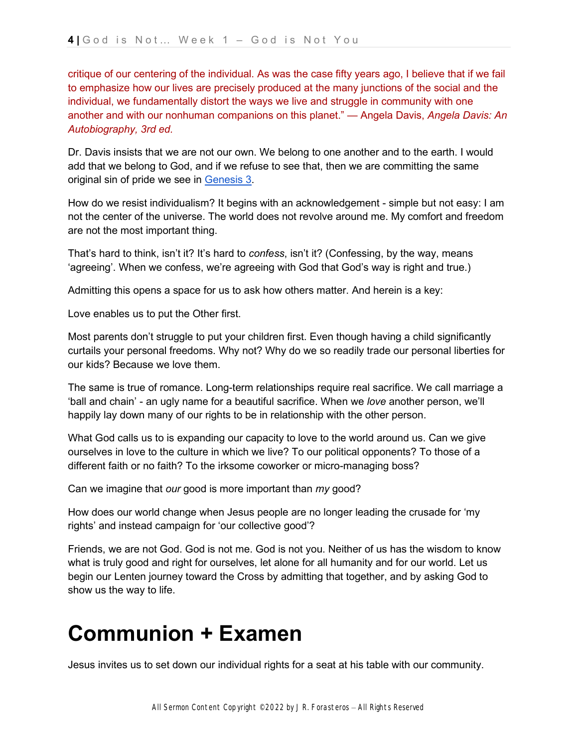critique of our centering of the individual. As was the case fifty years ago, I believe that if we fail to emphasize how our lives are precisely produced at the many junctions of the social and the individual, we fundamentally distort the ways we live and struggle in community with one another and with our nonhuman companions on this planet." — Angela Davis, *Angela Davis: An Autobiography, 3rd ed.*

Dr. Davis insists that we are not our own. We belong to one another and to the earth. I would add that we belong to God, and if we refuse to see that, then we are committing the same original sin of pride we see in [Genesis 3.](https://ref.ly/logosref/bible$2Bnlt.1.3)

How do we resist individualism? It begins with an acknowledgement - simple but not easy: I am not the center of the universe. The world does not revolve around me. My comfort and freedom are not the most important thing.

That's hard to think, isn't it? It's hard to *confess*, isn't it? (Confessing, by the way, means 'agreeing'. When we confess, we're agreeing with God that God's way is right and true.)

Admitting this opens a space for us to ask how others matter. And herein is a key:

Love enables us to put the Other first.

Most parents don't struggle to put your children first. Even though having a child significantly curtails your personal freedoms. Why not? Why do we so readily trade our personal liberties for our kids? Because we love them.

The same is true of romance. Long-term relationships require real sacrifice. We call marriage a 'ball and chain' - an ugly name for a beautiful sacrifice. When we *love* another person, we'll happily lay down many of our rights to be in relationship with the other person.

What God calls us to is expanding our capacity to love to the world around us. Can we give ourselves in love to the culture in which we live? To our political opponents? To those of a different faith or no faith? To the irksome coworker or micro-managing boss?

Can we imagine that *our* good is more important than *my* good?

How does our world change when Jesus people are no longer leading the crusade for 'my rights' and instead campaign for 'our collective good'?

Friends, we are not God. God is not me. God is not you. Neither of us has the wisdom to know what is truly good and right for ourselves, let alone for all humanity and for our world. Let us begin our Lenten journey toward the Cross by admitting that together, and by asking God to show us the way to life.

## **Communion + Examen**

Jesus invites us to set down our individual rights for a seat at his table with our community.